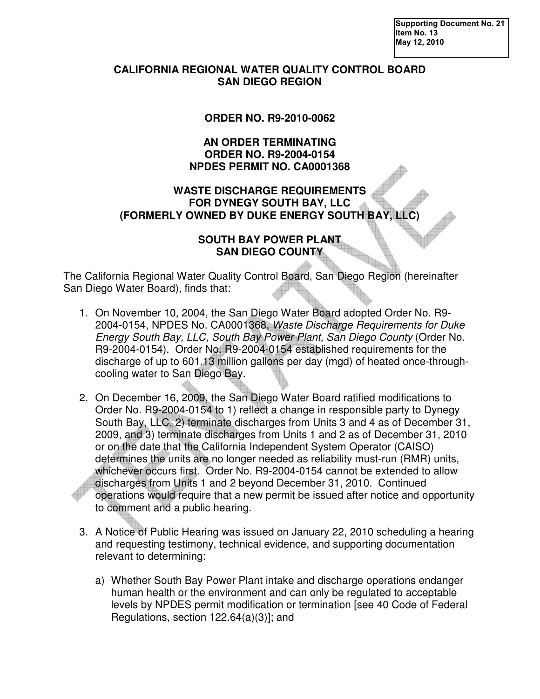**Supporting Document No. 21 Item No. 13 May 12, 2010** 

## **CALIFORNIA REGIONAL WATER QUALITY CONTROL BOARD SAN DIEGO REGION**

# **ORDER NO. R9-2010-0062**

### **AN ORDER TERMINATING ORDER NO. R9-2004-0154 NPDES PERMIT NO. CA0001368**

# **WASTE DISCHARGE REQUIREMENTS FOR DYNEGY SOUTH BAY, LLC (FORMERLY OWNED BY DUKE ENERGY SOUTH BAY, LLC)**

## **SOUTH BAY POWER PLANT SAN DIEGO COUNTY**

The California Regional Water Quality Control Board, San Diego Region (hereinafter San Diego Water Board), finds that:

- 1. On November 10, 2004, the San Diego Water Board adopted Order No. R9- 2004-0154, NPDES No. CA0001368, Waste Discharge Requirements for Duke Energy South Bay, LLC, South Bay Power Plant, San Diego County (Order No. R9-2004-0154). Order No. R9-2004-0154 established requirements for the discharge of up to 601.13 million gallons per day (mgd) of heated once-throughcooling water to San Diego Bay.
- 2. On December 16, 2009, the San Diego Water Board ratified modifications to Order No. R9-2004-0154 to 1) reflect a change in responsible party to Dynegy South Bay, LLC, 2) terminate discharges from Units 3 and 4 as of December 31, 2009, and 3) terminate discharges from Units 1 and 2 as of December 31, 2010 or on the date that the California Independent System Operator (CAISO) determines the units are no longer needed as reliability must-run (RMR) units, whichever occurs first. Order No. R9-2004-0154 cannot be extended to allow discharges from Units 1 and 2 beyond December 31, 2010. Continued operations would require that a new permit be issued after notice and opportunity to comment and a public hearing.
- 3. A Notice of Public Hearing was issued on January 22, 2010 scheduling a hearing and requesting testimony, technical evidence, and supporting documentation relevant to determining:
	- a) Whether South Bay Power Plant intake and discharge operations endanger human health or the environment and can only be regulated to acceptable levels by NPDES permit modification or termination [see 40 Code of Federal Regulations, section 122.64(a)(3)]; and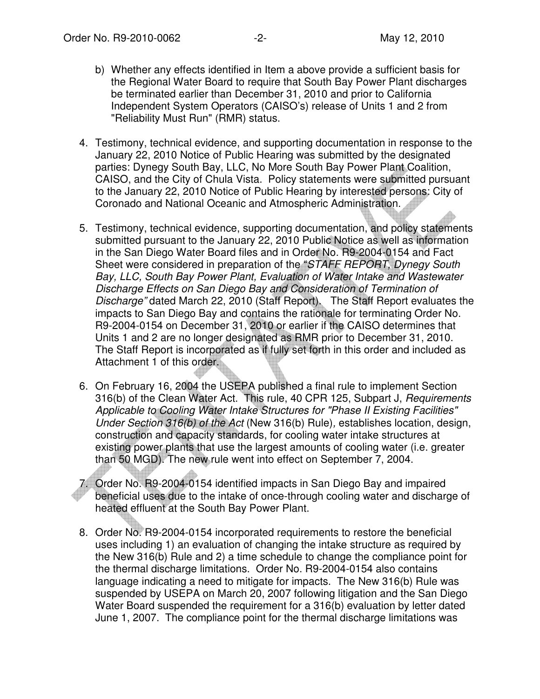- b) Whether any effects identified in Item a above provide a sufficient basis for the Regional Water Board to require that South Bay Power Plant discharges be terminated earlier than December 31, 2010 and prior to California Independent System Operators (CAISO's) release of Units 1 and 2 from "Reliability Must Run" (RMR) status.
- 4. Testimony, technical evidence, and supporting documentation in response to the January 22, 2010 Notice of Public Hearing was submitted by the designated parties: Dynegy South Bay, LLC, No More South Bay Power Plant Coalition, CAISO, and the City of Chula Vista. Policy statements were submitted pursuant to the January 22, 2010 Notice of Public Hearing by interested persons: City of Coronado and National Oceanic and Atmospheric Administration.
- 5. Testimony, technical evidence, supporting documentation, and policy statements submitted pursuant to the January 22, 2010 Public Notice as well as information in the San Diego Water Board files and in Order No. R9-2004-0154 and Fact Sheet were considered in preparation of the "STAFF REPORT, Dynegy South Bay, LLC, South Bay Power Plant, Evaluation of Water Intake and Wastewater Discharge Effects on San Diego Bay and Consideration of Termination of Discharge" dated March 22, 2010 (Staff Report). The Staff Report evaluates the impacts to San Diego Bay and contains the rationale for terminating Order No. R9-2004-0154 on December 31, 2010 or earlier if the CAISO determines that Units 1 and 2 are no longer designated as RMR prior to December 31, 2010. The Staff Report is incorporated as if fully set forth in this order and included as Attachment 1 of this order.
- 6. On February 16, 2004 the USEPA published a final rule to implement Section 316(b) of the Clean Water Act. This rule, 40 CPR 125, Subpart J, Requirements Applicable to Cooling Water Intake Structures for "Phase II Existing Facilities" Under Section 316(b) of the Act (New 316(b) Rule), establishes location, design, construction and capacity standards, for cooling water intake structures at existing power plants that use the largest amounts of cooling water (i.e. greater than 50 MGD). The new rule went into effect on September 7, 2004.

7. Order No. R9-2004-0154 identified impacts in San Diego Bay and impaired beneficial uses due to the intake of once-through cooling water and discharge of heated effluent at the South Bay Power Plant.

8. Order No. R9-2004-0154 incorporated requirements to restore the beneficial uses including 1) an evaluation of changing the intake structure as required by the New 316(b) Rule and 2) a time schedule to change the compliance point for the thermal discharge limitations. Order No. R9-2004-0154 also contains language indicating a need to mitigate for impacts. The New 316(b) Rule was suspended by USEPA on March 20, 2007 following litigation and the San Diego Water Board suspended the requirement for a 316(b) evaluation by letter dated June 1, 2007. The compliance point for the thermal discharge limitations was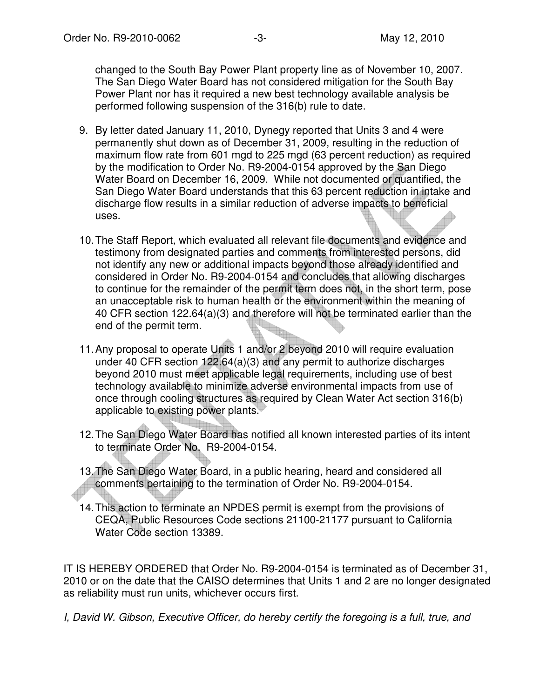changed to the South Bay Power Plant property line as of November 10, 2007. The San Diego Water Board has not considered mitigation for the South Bay Power Plant nor has it required a new best technology available analysis be performed following suspension of the 316(b) rule to date.

- 9. By letter dated January 11, 2010, Dynegy reported that Units 3 and 4 were permanently shut down as of December 31, 2009, resulting in the reduction of maximum flow rate from 601 mgd to 225 mgd (63 percent reduction) as required by the modification to Order No. R9-2004-0154 approved by the San Diego Water Board on December 16, 2009. While not documented or quantified, the San Diego Water Board understands that this 63 percent reduction in intake and discharge flow results in a similar reduction of adverse impacts to beneficial uses.
- 10. The Staff Report, which evaluated all relevant file documents and evidence and testimony from designated parties and comments from interested persons, did not identify any new or additional impacts beyond those already identified and considered in Order No. R9-2004-0154 and concludes that allowing discharges to continue for the remainder of the permit term does not, in the short term, pose an unacceptable risk to human health or the environment within the meaning of 40 CFR section 122.64(a)(3) and therefore will not be terminated earlier than the end of the permit term.
- 11. Any proposal to operate Units 1 and/or 2 beyond 2010 will require evaluation under 40 CFR section 122.64(a)(3) and any permit to authorize discharges beyond 2010 must meet applicable legal requirements, including use of best technology available to minimize adverse environmental impacts from use of once through cooling structures as required by Clean Water Act section 316(b) applicable to existing power plants.
- 12. The San Diego Water Board has notified all known interested parties of its intent to terminate Order No. R9-2004-0154.
- 13. The San Diego Water Board, in a public hearing, heard and considered all comments pertaining to the termination of Order No. R9-2004-0154.
- 14. This action to terminate an NPDES permit is exempt from the provisions of CEQA, Public Resources Code sections 21100-21177 pursuant to California Water Code section 13389.

IT IS HEREBY ORDERED that Order No. R9-2004-0154 is terminated as of December 31, 2010 or on the date that the CAISO determines that Units 1 and 2 are no longer designated as reliability must run units, whichever occurs first.

I, David W. Gibson, Executive Officer, do hereby certify the foregoing is a full, true, and